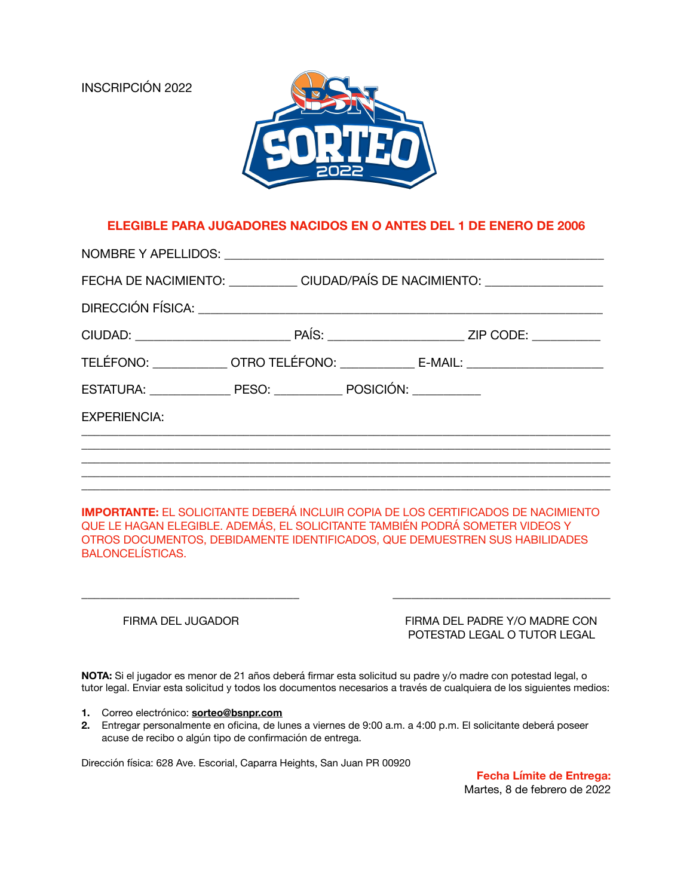INSCRIPCIÓN 2022



## **ELEGIBLE PARA JUGADORES NACIDOS EN O ANTES DEL 1 DE ENERO DE 2006**

|                     | FECHA DE NACIMIENTO: _____________ CIUDAD/PAÍS DE NACIMIENTO: __________________  |
|---------------------|-----------------------------------------------------------------------------------|
|                     |                                                                                   |
|                     |                                                                                   |
|                     | TELÉFONO: ______________OTRO TELÉFONO: ________________ E-MAIL: _________________ |
|                     |                                                                                   |
| <b>EXPERIENCIA:</b> |                                                                                   |
|                     |                                                                                   |
|                     |                                                                                   |
|                     |                                                                                   |

**IMPORTANTE:** EL SOLICITANTE DEBERÁ INCLUIR COPIA DE LOS CERTIFICADOS DE NACIMIENTO QUE LE HAGAN ELEGIBLE. ADEMÁS, EL SOLICITANTE TAMBIÉN PODRÁ SOMETER VIDEOS Y OTROS DOCUMENTOS, DEBIDAMENTE IDENTIFICADOS, QUE DEMUESTREN SUS HABILIDADES BALONCELÍSTICAS.

\_\_\_\_\_\_\_\_\_\_\_\_\_\_\_\_\_\_\_\_\_\_\_\_\_\_\_\_\_\_\_\_\_\_\_ \_\_\_\_\_\_\_\_\_\_\_\_\_\_\_\_\_\_\_\_\_\_\_\_\_\_\_\_\_\_\_\_\_\_\_

 FIRMA DEL JUGADOR FIRMA DEL PADRE Y/O MADRE CON POTESTAD LEGAL O TUTOR LEGAL

**NOTA:** Si el jugador es menor de 21 años deberá firmar esta solicitud su padre y/o madre con potestad legal, o tutor legal. Enviar esta solicitud y todos los documentos necesarios a través de cualquiera de los siguientes medios:

- **1.** Correo electrónico: **[sorteo@bsnpr.com](mailto:sorteo@bsnpr.com)**
- **2.** Entregar personalmente en oficina, de lunes a viernes de 9:00 a.m. a 4:00 p.m. El solicitante deberá poseer acuse de recibo o algún tipo de confirmación de entrega.

Dirección física: 628 Ave. Escorial, Caparra Heights, San Juan PR 00920

**Fecha Límite de Entrega:** Martes, 8 de febrero de 2022